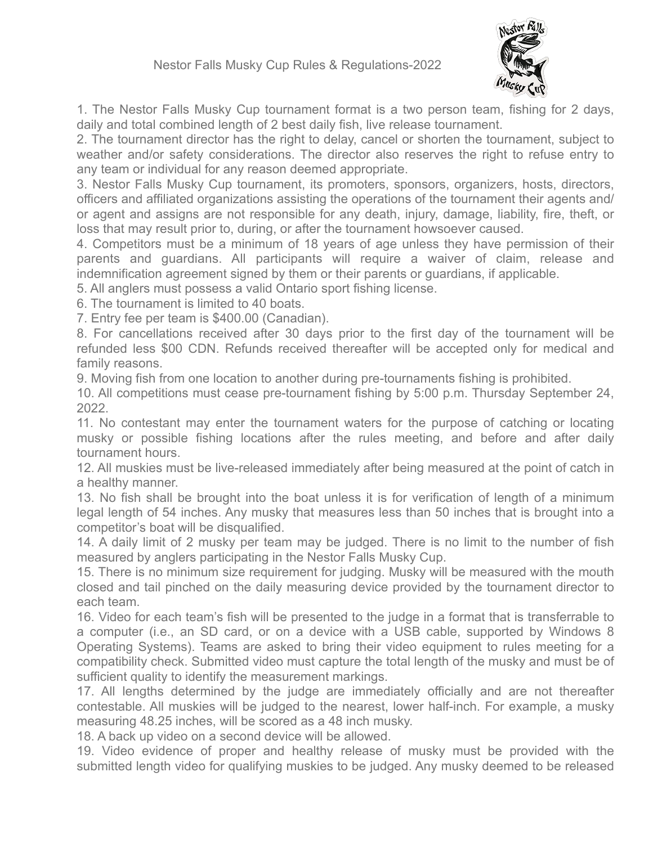

1. The Nestor Falls Musky Cup tournament format is a two person team, fishing for 2 days, daily and total combined length of 2 best daily fish, live release tournament.

2. The tournament director has the right to delay, cancel or shorten the tournament, subject to weather and/or safety considerations. The director also reserves the right to refuse entry to any team or individual for any reason deemed appropriate.

3. Nestor Falls Musky Cup tournament, its promoters, sponsors, organizers, hosts, directors, officers and affiliated organizations assisting the operations of the tournament their agents and/ or agent and assigns are not responsible for any death, injury, damage, liability, fire, theft, or loss that may result prior to, during, or after the tournament howsoever caused.

4. Competitors must be a minimum of 18 years of age unless they have permission of their parents and guardians. All participants will require a waiver of claim, release and indemnification agreement signed by them or their parents or guardians, if applicable.

5. All anglers must possess a valid Ontario sport fishing license.

6. The tournament is limited to 40 boats.

7. Entry fee per team is \$400.00 (Canadian).

8. For cancellations received after 30 days prior to the first day of the tournament will be refunded less \$00 CDN. Refunds received thereafter will be accepted only for medical and family reasons.

9. Moving fish from one location to another during pre-tournaments fishing is prohibited.

10. All competitions must cease pre-tournament fishing by 5:00 p.m. Thursday September 24, 2022.

11. No contestant may enter the tournament waters for the purpose of catching or locating musky or possible fishing locations after the rules meeting, and before and after daily tournament hours.

12. All muskies must be live-released immediately after being measured at the point of catch in a healthy manner.

13. No fish shall be brought into the boat unless it is for verification of length of a minimum legal length of 54 inches. Any musky that measures less than 50 inches that is brought into a competitor's boat will be disqualified.

14. A daily limit of 2 musky per team may be judged. There is no limit to the number of fish measured by anglers participating in the Nestor Falls Musky Cup.

15. There is no minimum size requirement for judging. Musky will be measured with the mouth closed and tail pinched on the daily measuring device provided by the tournament director to each team.

16. Video for each team's fish will be presented to the judge in a format that is transferrable to a computer (i.e., an SD card, or on a device with a USB cable, supported by Windows 8 Operating Systems). Teams are asked to bring their video equipment to rules meeting for a compatibility check. Submitted video must capture the total length of the musky and must be of sufficient quality to identify the measurement markings.

17. All lengths determined by the judge are immediately officially and are not thereafter contestable. All muskies will be judged to the nearest, lower half-inch. For example, a musky measuring 48.25 inches, will be scored as a 48 inch musky.

18. A back up video on a second device will be allowed.

19. Video evidence of proper and healthy release of musky must be provided with the submitted length video for qualifying muskies to be judged. Any musky deemed to be released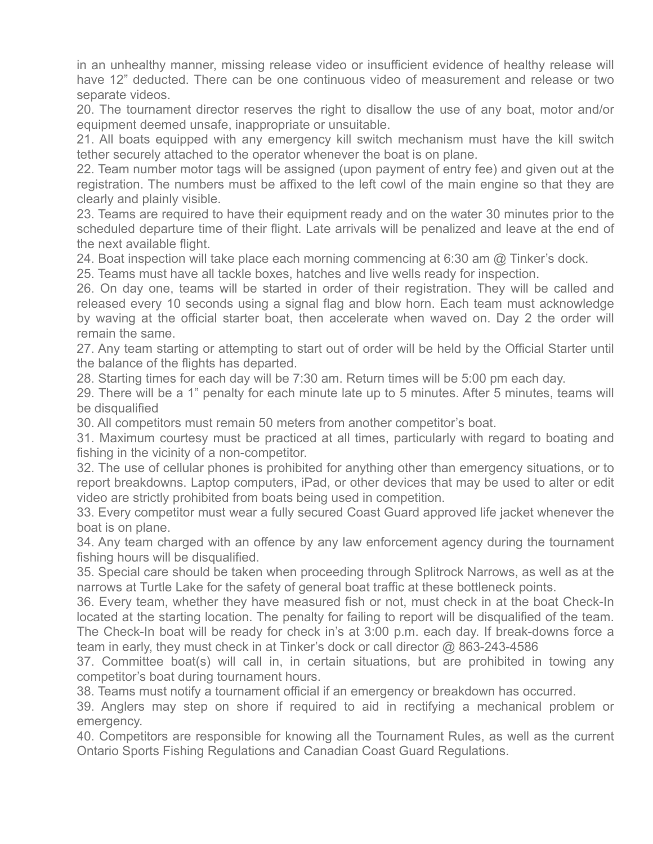in an unhealthy manner, missing release video or insufficient evidence of healthy release will have 12" deducted. There can be one continuous video of measurement and release or two separate videos.

20. The tournament director reserves the right to disallow the use of any boat, motor and/or equipment deemed unsafe, inappropriate or unsuitable.

21. All boats equipped with any emergency kill switch mechanism must have the kill switch tether securely attached to the operator whenever the boat is on plane.

22. Team number motor tags will be assigned (upon payment of entry fee) and given out at the registration. The numbers must be affixed to the left cowl of the main engine so that they are clearly and plainly visible.

23. Teams are required to have their equipment ready and on the water 30 minutes prior to the scheduled departure time of their flight. Late arrivals will be penalized and leave at the end of the next available flight.

24. Boat inspection will take place each morning commencing at 6:30 am @ Tinker's dock.

25. Teams must have all tackle boxes, hatches and live wells ready for inspection.

26. On day one, teams will be started in order of their registration. They will be called and released every 10 seconds using a signal flag and blow horn. Each team must acknowledge by waving at the official starter boat, then accelerate when waved on. Day 2 the order will remain the same.

27. Any team starting or attempting to start out of order will be held by the Official Starter until the balance of the flights has departed.

28. Starting times for each day will be 7:30 am. Return times will be 5:00 pm each day.

29. There will be a 1" penalty for each minute late up to 5 minutes. After 5 minutes, teams will be disqualified

30. All competitors must remain 50 meters from another competitor's boat.

31. Maximum courtesy must be practiced at all times, particularly with regard to boating and fishing in the vicinity of a non-competitor.

32. The use of cellular phones is prohibited for anything other than emergency situations, or to report breakdowns. Laptop computers, iPad, or other devices that may be used to alter or edit video are strictly prohibited from boats being used in competition.

33. Every competitor must wear a fully secured Coast Guard approved life jacket whenever the boat is on plane.

34. Any team charged with an offence by any law enforcement agency during the tournament fishing hours will be disqualified.

35. Special care should be taken when proceeding through Splitrock Narrows, as well as at the narrows at Turtle Lake for the safety of general boat traffic at these bottleneck points.

36. Every team, whether they have measured fish or not, must check in at the boat Check-In located at the starting location. The penalty for failing to report will be disqualified of the team. The Check-In boat will be ready for check in's at 3:00 p.m. each day. If break-downs force a team in early, they must check in at Tinker's dock or call director @ 863-243-4586

37. Committee boat(s) will call in, in certain situations, but are prohibited in towing any competitor's boat during tournament hours.

38. Teams must notify a tournament official if an emergency or breakdown has occurred.

39. Anglers may step on shore if required to aid in rectifying a mechanical problem or emergency.

40. Competitors are responsible for knowing all the Tournament Rules, as well as the current Ontario Sports Fishing Regulations and Canadian Coast Guard Regulations.